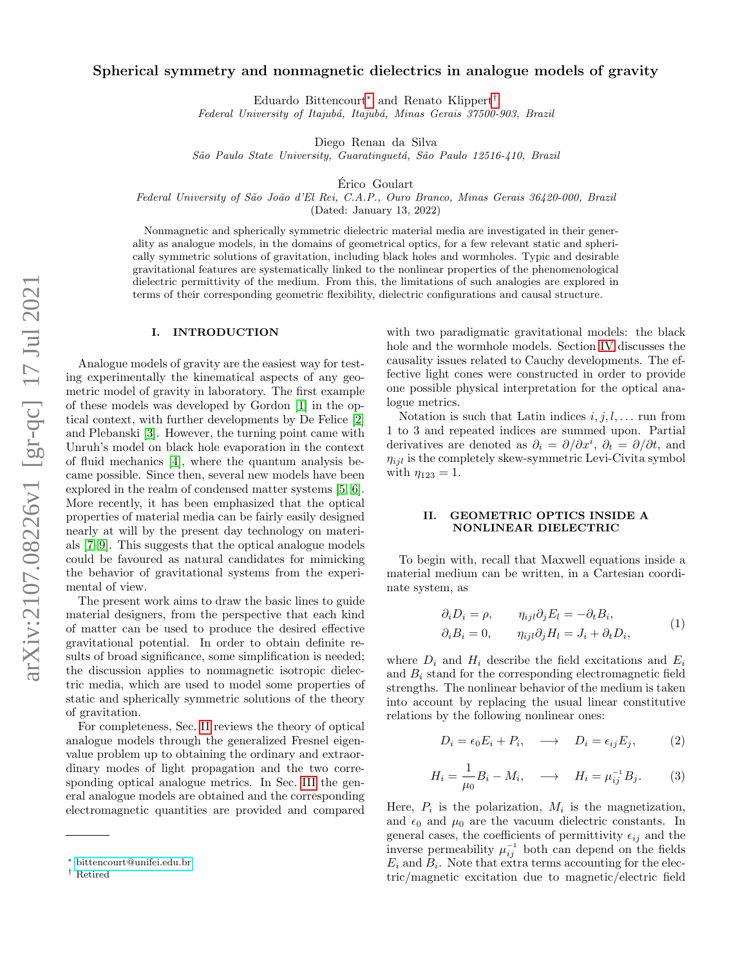# Spherical symmetry and nonmagnetic dielectrics in analogue models of gravity

Eduardo Bittencourt[∗](#page-0-0) and Renato Klippert[†](#page-0-1)

Federal University of Itajubá, Itajubá, Minas Gerais 37500-903, Brazil

Diego Renan da Silva

São Paulo State University, Guaratinguetá, São Paulo 12516-410, Brazil

Erico Goulart ´

Federal University of São João d'El Rei, C.A.P., Ouro Branco, Minas Gerais 36420-000, Brazil

(Dated: January 13, 2022)

Nonmagnetic and spherically symmetric dielectric material media are investigated in their generality as analogue models, in the domains of geometrical optics, for a few relevant static and spherically symmetric solutions of gravitation, including black holes and wormholes. Typic and desirable gravitational features are systematically linked to the nonlinear properties of the phenomenological dielectric permittivity of the medium. From this, the limitations of such analogies are explored in terms of their corresponding geometric flexibility, dielectric configurations and causal structure.

#### I. INTRODUCTION

Analogue models of gravity are the easiest way for testing experimentally the kinematical aspects of any geometric model of gravity in laboratory. The first example of these models was developed by Gordon [\[1\]](#page-5-0) in the optical context, with further developments by De Felice [\[2\]](#page-5-1) and Plebanski [\[3\]](#page-5-2). However, the turning point came with Unruh's model on black hole evaporation in the context of fluid mechanics [\[4\]](#page-5-3), where the quantum analysis became possible. Since then, several new models have been explored in the realm of condensed matter systems [\[5,](#page-5-4) [6\]](#page-5-5). More recently, it has been emphasized that the optical properties of material media can be fairly easily designed nearly at will by the present day technology on materials [\[7](#page-5-6)[–9\]](#page-5-7). This suggests that the optical analogue models could be favoured as natural candidates for mimicking the behavior of gravitational systems from the experimental of view.

The present work aims to draw the basic lines to guide material designers, from the perspective that each kind of matter can be used to produce the desired effective gravitational potential. In order to obtain definite results of broad significance, some simplification is needed; the discussion applies to nonmagnetic isotropic dielectric media, which are used to model some properties of static and spherically symmetric solutions of the theory of gravitation.

For completeness, Sec. [II](#page-0-2) reviews the theory of optical analogue models through the generalized Fresnel eigenvalue problem up to obtaining the ordinary and extraordinary modes of light propagation and the two corresponding optical analogue metrics. In Sec. [III](#page-1-0) the general analogue models are obtained and the corresponding electromagnetic quantities are provided and compared

with two paradigmatic gravitational models: the black hole and the wormhole models. Section [IV](#page-3-0) discusses the causality issues related to Cauchy developments. The effective light cones were constructed in order to provide one possible physical interpretation for the optical analogue metrics.

Notation is such that Latin indices  $i, j, l, \ldots$  run from 1 to 3 and repeated indices are summed upon. Partial derivatives are denoted as  $\partial_i = \partial/\partial x^i$ ,  $\partial_t = \partial/\partial t$ , and  $\eta_{iil}$  is the completely skew-symmetric Levi-Civita symbol with  $\eta_{123} = 1$ .

## <span id="page-0-2"></span>II. GEOMETRIC OPTICS INSIDE A NONLINEAR DIELECTRIC

To begin with, recall that Maxwell equations inside a material medium can be written, in a Cartesian coordinate system, as

<span id="page-0-3"></span>
$$
\partial_i D_i = \rho, \qquad \eta_{ijl} \partial_j E_l = -\partial_t B_i, \n\partial_i B_i = 0, \qquad \eta_{ijl} \partial_j H_l = J_i + \partial_t D_i,
$$
\n(1)

where  $D_i$  and  $H_i$  describe the field excitations and  $E_i$ and  $B_i$  stand for the corresponding electromagnetic field strengths. The nonlinear behavior of the medium is taken into account by replacing the usual linear constitutive relations by the following nonlinear ones:

<span id="page-0-4"></span>
$$
D_i = \epsilon_0 E_i + P_i, \quad \longrightarrow \quad D_i = \epsilon_{ij} E_j, \tag{2}
$$

$$
H_i = \frac{1}{\mu_0} B_i - M_i, \quad \longrightarrow \quad H_i = \mu_{ij}^{-1} B_j. \tag{3}
$$

Here,  $P_i$  is the polarization,  $M_i$  is the magnetization, and  $\epsilon_0$  and  $\mu_0$  are the vacuum dielectric constants. In general cases, the coefficients of permittivity  $\epsilon_{ij}$  and the inverse permeability  $\mu_{ij}^{-1}$  both can depend on the fields  $E_i$  and  $B_i$ . Note that extra terms accounting for the electric/magnetic excitation due to magnetic/electric field

<span id="page-0-0"></span><sup>∗</sup> [bittencourt@unifei.edu.br](mailto:bittencourt@unifei.edu.br)

<span id="page-0-1"></span><sup>†</sup> Retired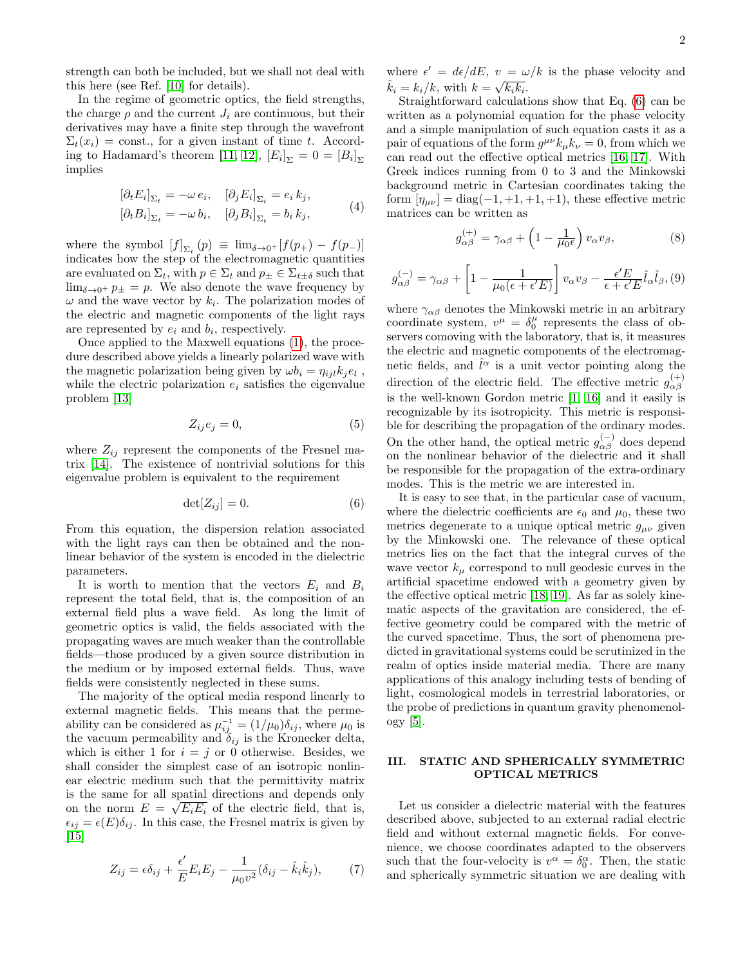strength can both be included, but we shall not deal with this here (see Ref. [\[10\]](#page-5-8) for details).

In the regime of geometric optics, the field strengths, the charge  $\rho$  and the current  $J_i$  are continuous, but their derivatives may have a finite step through the wavefront  $\Sigma_t(x_i) = \text{const.}$ , for a given instant of time t. Accord-ing to Hadamard's theorem [\[11,](#page-5-9) [12\]](#page-5-10),  $[E_i]_{\Sigma} = 0 = [B_i]_{\Sigma}$ implies

$$
\begin{aligned} \left[\partial_t E_i\right]_{\Sigma_t} &= -\omega \, e_i, \quad \left[\partial_j E_i\right]_{\Sigma_t} = e_i \, k_j, \\ \left[\partial_t B_i\right]_{\Sigma_t} &= -\omega \, b_i, \quad \left[\partial_j B_i\right]_{\Sigma_t} = b_i \, k_j, \end{aligned} \tag{4}
$$

where the symbol  $[f]_{\Sigma_t}(p) \equiv \lim_{\delta \to 0^+} [f(p_+) - f(p_-)]$ indicates how the step of the electromagnetic quantities are evaluated on  $\Sigma_t$ , with  $p \in \Sigma_t$  and  $p_{\pm} \in \Sigma_{t \pm \delta}$  such that  $\lim_{\delta \to 0^+} p_{\pm} = p$ . We also denote the wave frequency by  $\omega$  and the wave vector by  $k_i$ . The polarization modes of the electric and magnetic components of the light rays are represented by  $e_i$  and  $b_i$ , respectively.

Once applied to the Maxwell equations [\(1\)](#page-0-3), the procedure described above yields a linearly polarized wave with the magnetic polarization being given by  $\omega b_i = \eta_{ijl} k_j e_l$ , while the electric polarization  $e_i$  satisfies the eigenvalue problem [\[13\]](#page-5-11)

$$
Z_{ij}e_j = 0,\t\t(5)
$$

where  $Z_{ij}$  represent the components of the Fresnel matrix [\[14\]](#page-5-12). The existence of nontrivial solutions for this eigenvalue problem is equivalent to the requirement

<span id="page-1-1"></span>
$$
\det[Z_{ij}] = 0. \tag{6}
$$

From this equation, the dispersion relation associated with the light rays can then be obtained and the nonlinear behavior of the system is encoded in the dielectric parameters.

It is worth to mention that the vectors  $E_i$  and  $B_i$ represent the total field, that is, the composition of an external field plus a wave field. As long the limit of geometric optics is valid, the fields associated with the propagating waves are much weaker than the controllable fields—those produced by a given source distribution in the medium or by imposed external fields. Thus, wave fields were consistently neglected in these sums.

The majority of the optical media respond linearly to external magnetic fields. This means that the permeability can be considered as  $\mu_{ij}^{-1} = (1/\mu_0)\delta_{ij}$ , where  $\mu_0$  is the vacuum permeability and  $\delta_{ij}$  is the Kronecker delta, which is either 1 for  $i = j$  or 0 otherwise. Besides, we shall consider the simplest case of an isotropic nonlinear electric medium such that the permittivity matrix is the same for all spatial directions and depends only √ on the norm  $E = \sqrt{E_i E_i}$  of the electric field, that is,  $\epsilon_{ij} = \epsilon(E)\delta_{ij}$ . In this case, the Fresnel matrix is given by  $[15]$ 

$$
Z_{ij} = \epsilon \delta_{ij} + \frac{\epsilon'}{E} E_i E_j - \frac{1}{\mu_0 v^2} (\delta_{ij} - \hat{k}_i \hat{k}_j), \tag{7}
$$

where  $\epsilon' = d\epsilon/dE$ ,  $v = \omega/k$  is the phase velocity and  $\hat{k}_i = k_i/k$ , with  $k = \sqrt{k_i k_i}$ .

Straightforward calculations show that Eq. [\(6\)](#page-1-1) can be written as a polynomial equation for the phase velocity and a simple manipulation of such equation casts it as a pair of equations of the form  $g^{\mu\nu}k_{\mu}k_{\nu} = 0$ , from which we can read out the effective optical metrics [\[16,](#page-5-14) [17\]](#page-5-15). With Greek indices running from 0 to 3 and the Minkowski background metric in Cartesian coordinates taking the form  $[\eta_{\mu\nu}] = \text{diag}(-1, +1, +1, +1)$ , these effective metric matrices can be written as

$$
g_{\alpha\beta}^{(+)} = \gamma_{\alpha\beta} + \left(1 - \frac{1}{\mu_0 \epsilon}\right) v_{\alpha} v_{\beta},\tag{8}
$$

<span id="page-1-2"></span>
$$
g_{\alpha\beta}^{(-)} = \gamma_{\alpha\beta} + \left[1 - \frac{1}{\mu_0(\epsilon + \epsilon' E)}\right] v_{\alpha} v_{\beta} - \frac{\epsilon' E}{\epsilon + \epsilon' E} \hat{l}_{\alpha} \hat{l}_{\beta}, (9)
$$

g

where  $\gamma_{\alpha\beta}$  denotes the Minkowski metric in an arbitrary coordinate system,  $v^{\mu} = \delta_0^{\mu}$  represents the class of observers comoving with the laboratory, that is, it measures the electric and magnetic components of the electromagnetic fields, and  $\hat{l}^{\alpha}$  is a unit vector pointing along the direction of the electric field. The effective metric  $g_{\alpha\beta}^{(+)}$  $\alpha\beta$ is the well-known Gordon metric [\[1,](#page-5-0) [16\]](#page-5-14) and it easily is recognizable by its isotropicity. This metric is responsible for describing the propagation of the ordinary modes. On the other hand, the optical metric  $g_{\alpha\beta}^{(-)}$  does depend on the nonlinear behavior of the dielectric and it shall be responsible for the propagation of the extra-ordinary modes. This is the metric we are interested in.

It is easy to see that, in the particular case of vacuum, where the dielectric coefficients are  $\epsilon_0$  and  $\mu_0$ , these two metrics degenerate to a unique optical metric  $g_{\mu\nu}$  given by the Minkowski one. The relevance of these optical metrics lies on the fact that the integral curves of the wave vector  $k_{\mu}$  correspond to null geodesic curves in the artificial spacetime endowed with a geometry given by the effective optical metric [\[18,](#page-5-16) [19\]](#page-5-17). As far as solely kinematic aspects of the gravitation are considered, the effective geometry could be compared with the metric of the curved spacetime. Thus, the sort of phenomena predicted in gravitational systems could be scrutinized in the realm of optics inside material media. There are many applications of this analogy including tests of bending of light, cosmological models in terrestrial laboratories, or the probe of predictions in quantum gravity phenomenol- $\log y$  [\[5\]](#page-5-4).

# <span id="page-1-0"></span>III. STATIC AND SPHERICALLY SYMMETRIC OPTICAL METRICS

Let us consider a dielectric material with the features described above, subjected to an external radial electric field and without external magnetic fields. For convenience, we choose coordinates adapted to the observers such that the four-velocity is  $v^{\alpha} = \delta_0^{\alpha}$ . Then, the static and spherically symmetric situation we are dealing with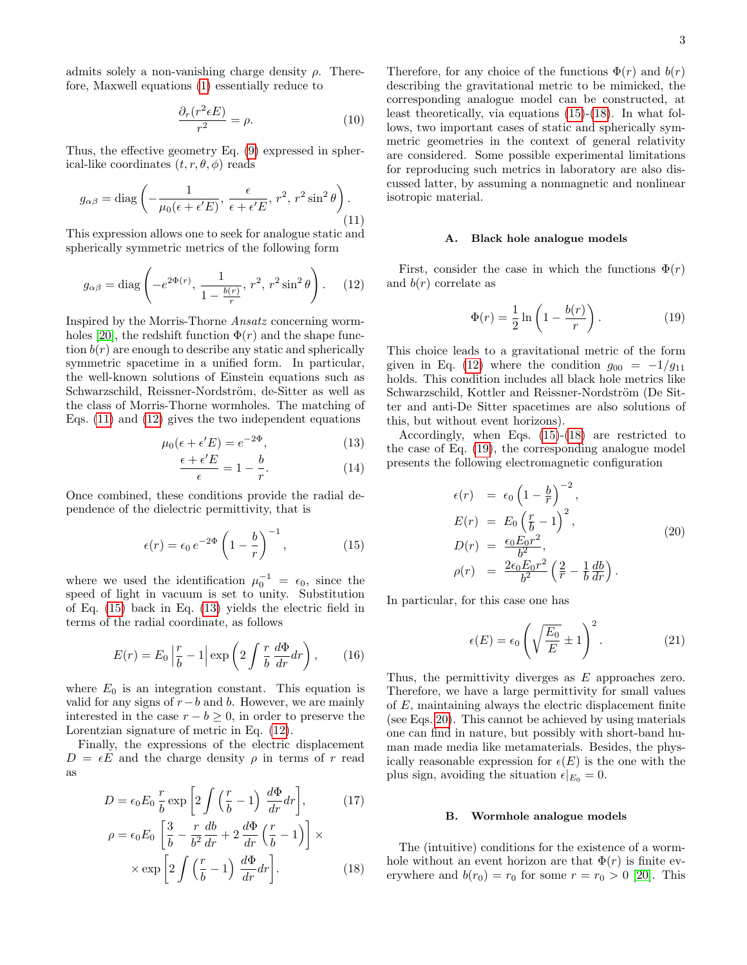admits solely a non-vanishing charge density  $\rho$ . Therefore, Maxwell equations [\(1\)](#page-0-3) essentially reduce to

$$
\frac{\partial_r(r^2 \epsilon E)}{r^2} = \rho. \tag{10}
$$

Thus, the effective geometry Eq. [\(9\)](#page-1-2) expressed in spherical-like coordinates  $(t, r, \theta, \phi)$  reads

<span id="page-2-0"></span>
$$
g_{\alpha\beta} = \text{diag}\left(-\frac{1}{\mu_0(\epsilon + \epsilon' E)}, \frac{\epsilon}{\epsilon + \epsilon' E}, r^2, r^2 \sin^2 \theta\right).
$$
\n(11)

This expression allows one to seek for analogue static and spherically symmetric metrics of the following form

<span id="page-2-1"></span>
$$
g_{\alpha\beta} = \text{diag}\left(-e^{2\Phi(r)}, \frac{1}{1 - \frac{b(r)}{r}}, r^2, r^2 \sin^2\theta\right). \quad (12)
$$

Inspired by the Morris-Thorne Ansatz concerning worm-holes [\[20\]](#page-5-18), the redshift function  $\Phi(r)$  and the shape function  $b(r)$  are enough to describe any static and spherically symmetric spacetime in a unified form. In particular, the well-known solutions of Einstein equations such as Schwarzschild, Reissner-Nordström, de-Sitter as well as the class of Morris-Thorne wormholes. The matching of Eqs. [\(11\)](#page-2-0) and [\(12\)](#page-2-1) gives the two independent equations

<span id="page-2-3"></span>
$$
\mu_0(\epsilon + \epsilon'E) = e^{-2\Phi},\tag{13}
$$

$$
\frac{\epsilon + \epsilon' E}{\epsilon} = 1 - \frac{b}{r}.\tag{14}
$$

Once combined, these conditions provide the radial dependence of the dielectric permittivity, that is

<span id="page-2-2"></span>
$$
\epsilon(r) = \epsilon_0 e^{-2\Phi} \left( 1 - \frac{b}{r} \right)^{-1}, \qquad (15)
$$

where we used the identification  $\mu_0^{-1} = \epsilon_0$ , since the speed of light in vacuum is set to unity. Substitution of Eq. [\(15\)](#page-2-2) back in Eq. [\(13\)](#page-2-3) yields the electric field in terms of the radial coordinate, as follows

<span id="page-2-7"></span>
$$
E(r) = E_0 \left| \frac{r}{b} - 1 \right| \exp\left( 2 \int \frac{r}{b} \frac{d\Phi}{dr} dr \right), \qquad (16)
$$

where  $E_0$  is an integration constant. This equation is valid for any signs of  $r-b$  and b. However, we are mainly interested in the case  $r - b \geq 0$ , in order to preserve the Lorentzian signature of metric in Eq. [\(12\)](#page-2-1).

Finally, the expressions of the electric displacement  $D = \epsilon E$  and the charge density  $\rho$  in terms of r read as

<span id="page-2-4"></span>
$$
D = \epsilon_0 E_0 \frac{r}{b} \exp\left[2 \int \left(\frac{r}{b} - 1\right) \frac{d\Phi}{dr} dr\right],\qquad(17)
$$

$$
\rho = \epsilon_0 E_0 \left[\frac{3}{b} - \frac{r}{b^2} \frac{db}{dr} + 2 \frac{d\Phi}{dr} \left(\frac{r}{b} - 1\right)\right] \times
$$

$$
\times \exp\left[2\int \left(\frac{r}{b} - 1\right) \frac{d\Phi}{dr} dr\right].
$$
 (18)

Therefore, for any choice of the functions  $\Phi(r)$  and  $b(r)$ describing the gravitational metric to be mimicked, the corresponding analogue model can be constructed, at least theoretically, via equations [\(15\)](#page-2-2)-[\(18\)](#page-2-4). In what follows, two important cases of static and spherically symmetric geometries in the context of general relativity are considered. Some possible experimental limitations for reproducing such metrics in laboratory are also discussed latter, by assuming a nonmagnetic and nonlinear isotropic material.

#### A. Black hole analogue models

First, consider the case in which the functions  $\Phi(r)$ and  $b(r)$  correlate as

<span id="page-2-5"></span>
$$
\Phi(r) = \frac{1}{2} \ln \left( 1 - \frac{b(r)}{r} \right). \tag{19}
$$

This choice leads to a gravitational metric of the form given in Eq. [\(12\)](#page-2-1) where the condition  $g_{00} = -1/g_{11}$ holds. This condition includes all black hole metrics like Schwarzschild, Kottler and Reissner-Nordström (De Sitter and anti-De Sitter spacetimes are also solutions of this, but without event horizons).

Accordingly, when Eqs. [\(15\)](#page-2-2)-[\(18\)](#page-2-4) are restricted to the case of Eq. [\(19\)](#page-2-5), the corresponding analogue model presents the following electromagnetic configuration

<span id="page-2-6"></span>
$$
\epsilon(r) = \epsilon_0 \left(1 - \frac{b}{r}\right)^{-2},
$$
  
\n
$$
E(r) = E_0 \left(\frac{r}{b} - 1\right)^2,
$$
  
\n
$$
D(r) = \frac{\epsilon_0 E_0 r^2}{b^2},
$$
  
\n
$$
\rho(r) = \frac{2\epsilon_0 E_0 r^2}{b^2} \left(\frac{2}{r} - \frac{1}{b} \frac{db}{dr}\right).
$$
\n(20)

In particular, for this case one has

$$
\epsilon(E) = \epsilon_0 \left( \sqrt{\frac{E_0}{E}} \pm 1 \right)^2.
$$
 (21)

Thus, the permittivity diverges as E approaches zero. Therefore, we have a large permittivity for small values of E, maintaining always the electric displacement finite (see Eqs. [20\)](#page-2-6). This cannot be achieved by using materials one can find in nature, but possibly with short-band human made media like metamaterials. Besides, the physically reasonable expression for  $\epsilon(E)$  is the one with the plus sign, avoiding the situation  $\epsilon|_{E_0} = 0$ .

#### B. Wormhole analogue models

The (intuitive) conditions for the existence of a wormhole without an event horizon are that  $\Phi(r)$  is finite everywhere and  $b(r_0) = r_0$  for some  $r = r_0 > 0$  [\[20\]](#page-5-18). This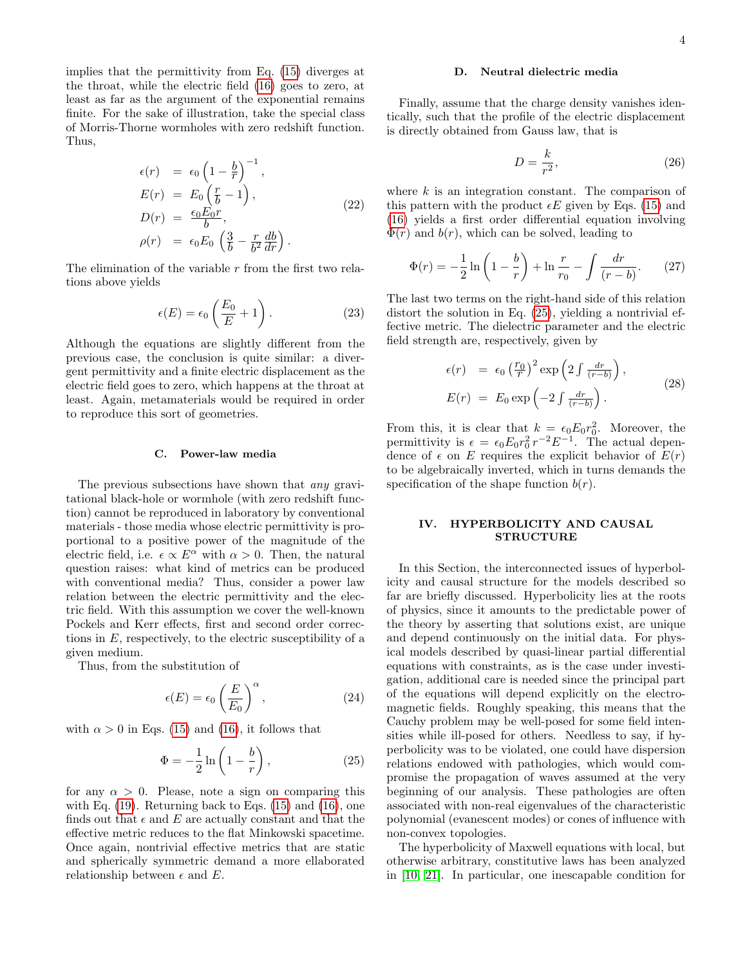implies that the permittivity from Eq. [\(15\)](#page-2-2) diverges at the throat, while the electric field [\(16\)](#page-2-7) goes to zero, at least as far as the argument of the exponential remains finite. For the sake of illustration, take the special class of Morris-Thorne wormholes with zero redshift function. Thus,

$$
\epsilon(r) = \epsilon_0 \left(1 - \frac{b}{r}\right)^{-1},
$$
  
\n
$$
E(r) = E_0 \left(\frac{r}{b} - 1\right),
$$
  
\n
$$
D(r) = \frac{\epsilon_0 E_0 r}{b},
$$
  
\n
$$
\rho(r) = \epsilon_0 E_0 \left(\frac{3}{b} - \frac{r}{b^2} \frac{db}{dr}\right).
$$
\n(22)

The elimination of the variable  $r$  from the first two relations above yields

$$
\epsilon(E) = \epsilon_0 \left(\frac{E_0}{E} + 1\right). \tag{23}
$$

Although the equations are slightly different from the previous case, the conclusion is quite similar: a divergent permittivity and a finite electric displacement as the electric field goes to zero, which happens at the throat at least. Again, metamaterials would be required in order to reproduce this sort of geometries.

### C. Power-law media

The previous subsections have shown that *any* gravitational black-hole or wormhole (with zero redshift function) cannot be reproduced in laboratory by conventional materials - those media whose electric permittivity is proportional to a positive power of the magnitude of the electric field, i.e.  $\epsilon \propto E^{\alpha}$  with  $\alpha > 0$ . Then, the natural question raises: what kind of metrics can be produced with conventional media? Thus, consider a power law relation between the electric permittivity and the electric field. With this assumption we cover the well-known Pockels and Kerr effects, first and second order corrections in  $E$ , respectively, to the electric susceptibility of a given medium.

Thus, from the substitution of

$$
\epsilon(E) = \epsilon_0 \left(\frac{E}{E_0}\right)^{\alpha},\tag{24}
$$

with  $\alpha > 0$  in Eqs. [\(15\)](#page-2-2) and [\(16\)](#page-2-7), it follows that

<span id="page-3-1"></span>
$$
\Phi = -\frac{1}{2}\ln\left(1 - \frac{b}{r}\right),\tag{25}
$$

for any  $\alpha > 0$ . Please, note a sign on comparing this with Eq.  $(19)$ . Returning back to Eqs.  $(15)$  and  $(16)$ , one finds out that  $\epsilon$  and E are actually constant and that the effective metric reduces to the flat Minkowski spacetime. Once again, nontrivial effective metrics that are static and spherically symmetric demand a more ellaborated relationship between  $\epsilon$  and E.

#### D. Neutral dielectric media

Finally, assume that the charge density vanishes identically, such that the profile of the electric displacement is directly obtained from Gauss law, that is

$$
D = \frac{k}{r^2},\tag{26}
$$

where  $k$  is an integration constant. The comparison of this pattern with the product  $\epsilon E$  given by Eqs. [\(15\)](#page-2-2) and [\(16\)](#page-2-7) yields a first order differential equation involving  $\Phi(r)$  and  $b(r)$ , which can be solved, leading to

$$
\Phi(r) = -\frac{1}{2}\ln\left(1 - \frac{b}{r}\right) + \ln\frac{r}{r_0} - \int\frac{dr}{(r - b)}.\tag{27}
$$

The last two terms on the right-hand side of this relation distort the solution in Eq. [\(25\)](#page-3-1), yielding a nontrivial effective metric. The dielectric parameter and the electric field strength are, respectively, given by

$$
\epsilon(r) = \epsilon_0 \left(\frac{r_0}{r}\right)^2 \exp\left(2 \int \frac{dr}{(r-b)}\right),
$$
  
\n
$$
E(r) = E_0 \exp\left(-2 \int \frac{dr}{(r-b)}\right).
$$
\n(28)

From this, it is clear that  $k = \epsilon_0 E_0 r_0^2$ . Moreover, the permittivity is  $\epsilon = \epsilon_0 E_0 r_0^2 r^{-2} E^{-1}$ . The actual dependence of  $\epsilon$  on E requires the explicit behavior of  $E(r)$ to be algebraically inverted, which in turns demands the specification of the shape function  $b(r)$ .

# <span id="page-3-0"></span>IV. HYPERBOLICITY AND CAUSAL **STRUCTURE**

In this Section, the interconnected issues of hyperbolicity and causal structure for the models described so far are briefly discussed. Hyperbolicity lies at the roots of physics, since it amounts to the predictable power of the theory by asserting that solutions exist, are unique and depend continuously on the initial data. For physical models described by quasi-linear partial differential equations with constraints, as is the case under investigation, additional care is needed since the principal part of the equations will depend explicitly on the electromagnetic fields. Roughly speaking, this means that the Cauchy problem may be well-posed for some field intensities while ill-posed for others. Needless to say, if hyperbolicity was to be violated, one could have dispersion relations endowed with pathologies, which would compromise the propagation of waves assumed at the very beginning of our analysis. These pathologies are often associated with non-real eigenvalues of the characteristic polynomial (evanescent modes) or cones of influence with non-convex topologies.

The hyperbolicity of Maxwell equations with local, but otherwise arbitrary, constitutive laws has been analyzed in [\[10,](#page-5-8) [21\]](#page-6-0). In particular, one inescapable condition for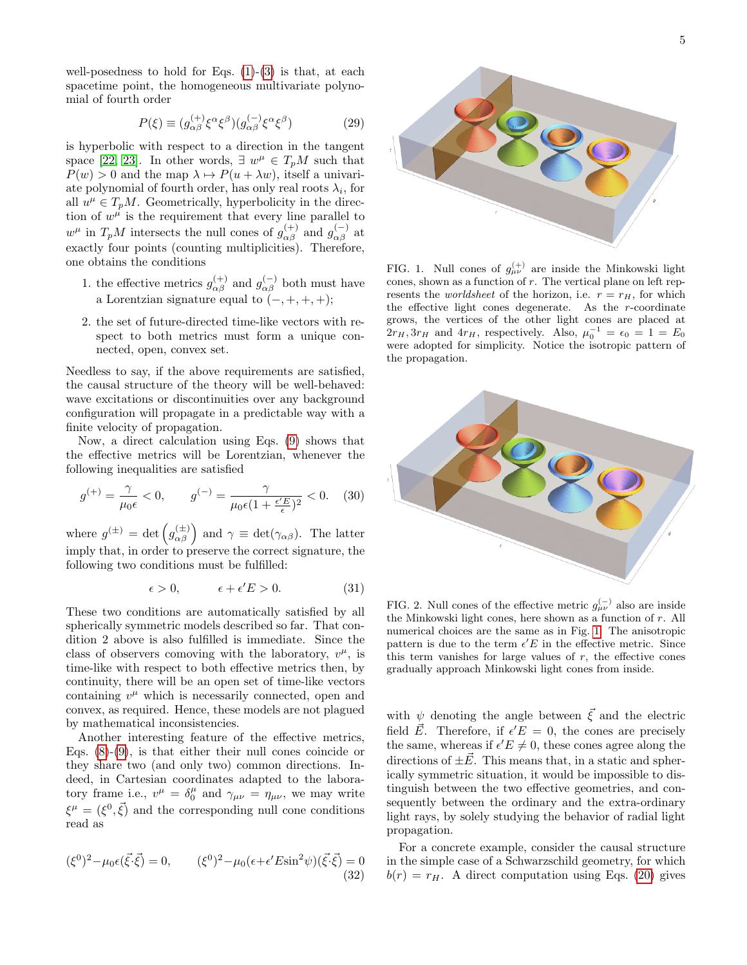well-posedness to hold for Eqs.  $(1)-(3)$  $(1)-(3)$  $(1)-(3)$  is that, at each spacetime point, the homogeneous multivariate polynomial of fourth order

$$
P(\xi) \equiv (g_{\alpha\beta}^{(+)}\xi^{\alpha}\xi^{\beta})(g_{\alpha\beta}^{(-)}\xi^{\alpha}\xi^{\beta})
$$
 (29)

is hyperbolic with respect to a direction in the tangent space [\[22,](#page-6-1) [23\]](#page-6-2). In other words,  $\exists w^{\mu} \in T_pM$  such that  $P(w) > 0$  and the map  $\lambda \mapsto P(u + \lambda w)$ , itself a univariate polynomial of fourth order, has only real roots  $\lambda_i$ , for all  $u^{\mu} \in T_pM$ . Geometrically, hyperbolicity in the direction of  $w^{\mu}$  is the requirement that every line parallel to  $w^{\mu}$  in  $T_pM$  intersects the null cones of  $g^{(+)}_{\alpha\beta}$  and  $g^{(-)}_{\alpha\beta}$  at exactly four points (counting multiplicities). Therefore, one obtains the conditions

- 1. the effective metrics  $g_{\alpha\beta}^{(+)}$  and  $g_{\alpha\beta}^{(-)}$  both must have a Lorentzian signature equal to  $(-, +, +, +);$
- 2. the set of future-directed time-like vectors with respect to both metrics must form a unique connected, open, convex set.

Needless to say, if the above requirements are satisfied, the causal structure of the theory will be well-behaved: wave excitations or discontinuities over any background configuration will propagate in a predictable way with a finite velocity of propagation.

Now, a direct calculation using Eqs. [\(9\)](#page-1-2) shows that the effective metrics will be Lorentzian, whenever the following inequalities are satisfied

$$
g^{(+)} = \frac{\gamma}{\mu_0 \epsilon} < 0, \qquad g^{(-)} = \frac{\gamma}{\mu_0 \epsilon (1 + \frac{\epsilon' E}{\epsilon})^2} < 0. \tag{30}
$$

where  $g^{(\pm)} = \det \left( g_{\alpha\beta}^{(\pm)} \right)$  and  $\gamma \equiv \det(\gamma_{\alpha\beta})$ . The latter imply that, in order to preserve the correct signature, the following two conditions must be fulfilled:

$$
\epsilon > 0, \qquad \epsilon + \epsilon' E > 0. \tag{31}
$$

These two conditions are automatically satisfied by all spherically symmetric models described so far. That condition 2 above is also fulfilled is immediate. Since the class of observers comoving with the laboratory,  $v^{\mu}$ , is time-like with respect to both effective metrics then, by continuity, there will be an open set of time-like vectors containing  $v^{\mu}$  which is necessarily connected, open and convex, as required. Hence, these models are not plagued by mathematical inconsistencies.

Another interesting feature of the effective metrics, Eqs.  $(8)-(9)$  $(8)-(9)$  $(8)-(9)$ , is that either their null cones coincide or they share two (and only two) common directions. Indeed, in Cartesian coordinates adapted to the laboratory frame i.e.,  $v^{\mu} = \delta_0^{\mu}$  and  $\gamma_{\mu\nu} = \eta_{\mu\nu}$ , we may write  $\xi^{\mu} = (\xi^{0}, \vec{\xi})$  and the corresponding null cone conditions read as

<span id="page-4-1"></span>
$$
(\xi^0)^2 - \mu_0 \epsilon(\vec{\xi} \cdot \vec{\xi}) = 0, \qquad (\xi^0)^2 - \mu_0 (\epsilon + \epsilon' E \sin^2 \psi)(\vec{\xi} \cdot \vec{\xi}) = 0
$$
\n(32)



<span id="page-4-0"></span>FIG. 1. Null cones of  $g_{\mu\nu}^{(+)}$  are inside the Minkowski light cones, shown as a function of  $r$ . The vertical plane on left represents the *worldsheet* of the horizon, i.e.  $r = r_H$ , for which the effective light cones degenerate. As the  $r$ -coordinate grows, the vertices of the other light cones are placed at  $2r_H$ ,  $3r_H$  and  $4r_H$ , respectively. Also,  $\mu_0^{-1} = \epsilon_0 = 1 = E_0$ were adopted for simplicity. Notice the isotropic pattern of the propagation.



<span id="page-4-2"></span>FIG. 2. Null cones of the effective metric  $g_{\mu\nu}^{(-)}$  also are inside the Minkowski light cones, here shown as a function of r. All numerical choices are the same as in Fig. [1.](#page-4-0) The anisotropic pattern is due to the term  $\epsilon' E$  in the effective metric. Since this term vanishes for large values of  $r$ , the effective cones gradually approach Minkowski light cones from inside.

with  $\psi$  denoting the angle between  $\vec{\xi}$  and the electric field  $\vec{E}$ . Therefore, if  $\epsilon' E = 0$ , the cones are precisely the same, whereas if  $\epsilon' E \neq 0$ , these cones agree along the directions of  $\pm \vec{E}$ . This means that, in a static and spherically symmetric situation, it would be impossible to distinguish between the two effective geometries, and consequently between the ordinary and the extra-ordinary light rays, by solely studying the behavior of radial light propagation.

For a concrete example, consider the causal structure in the simple case of a Schwarzschild geometry, for which  $b(r) = r_H$ . A direct computation using Eqs. [\(20\)](#page-2-6) gives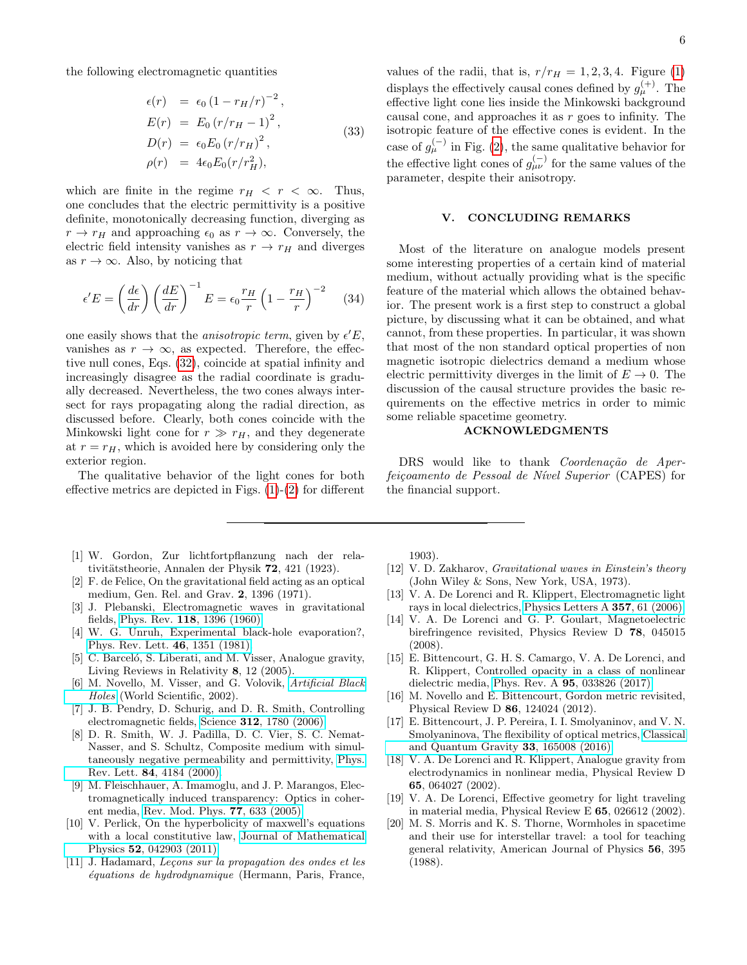the following electromagnetic quantities

$$
\epsilon(r) = \epsilon_0 (1 - r_H/r)^{-2}, \nE(r) = E_0 (r/r_H - 1)^2, \nD(r) = \epsilon_0 E_0 (r/r_H)^2, \n\rho(r) = 4\epsilon_0 E_0 (r/r_H^2),
$$
\n(33)

which are finite in the regime  $r_H < r < \infty$ . Thus, one concludes that the electric permittivity is a positive definite, monotonically decreasing function, diverging as  $r \to r_H$  and approaching  $\epsilon_0$  as  $r \to \infty$ . Conversely, the electric field intensity vanishes as  $r \rightarrow r_H$  and diverges as  $r \to \infty$ . Also, by noticing that

$$
\epsilon' E = \left(\frac{d\epsilon}{dr}\right) \left(\frac{dE}{dr}\right)^{-1} E = \epsilon_0 \frac{r_H}{r} \left(1 - \frac{r_H}{r}\right)^{-2} \tag{34}
$$

one easily shows that the *anisotropic term*, given by  $\epsilon' E$ , vanishes as  $r \to \infty$ , as expected. Therefore, the effective null cones, Eqs. [\(32\)](#page-4-1), coincide at spatial infinity and increasingly disagree as the radial coordinate is gradually decreased. Nevertheless, the two cones always intersect for rays propagating along the radial direction, as discussed before. Clearly, both cones coincide with the Minkowski light cone for  $r \gg r_H$ , and they degenerate at  $r = r_H$ , which is avoided here by considering only the exterior region.

The qualitative behavior of the light cones for both effective metrics are depicted in Figs. [\(1\)](#page-4-0)-[\(2\)](#page-4-2) for different

- <span id="page-5-0"></span>[1] W. Gordon, Zur lichtfortpflanzung nach der relativitätstheorie, Annalen der Physik 72, 421 (1923).
- <span id="page-5-1"></span>[2] F. de Felice, On the gravitational field acting as an optical medium, Gen. Rel. and Grav. 2, 1396 (1971).
- <span id="page-5-2"></span>[3] J. Plebanski, Electromagnetic waves in gravitational fields, Phys. Rev. 118[, 1396 \(1960\).](https://doi.org/10.1103/PhysRev.118.1396)
- <span id="page-5-3"></span>[4] W. G. Unruh, Experimental black-hole evaporation?, [Phys. Rev. Lett.](https://doi.org/10.1103/PhysRevLett.46.1351) 46, 1351 (1981).
- <span id="page-5-4"></span>[5] C. Barceló, S. Liberati, and M. Visser, Analogue gravity, Living Reviews in Relativity 8, 12 (2005).
- <span id="page-5-5"></span>[6] M. Novello, M. Visser, and G. Volovik, [Artificial Black](https://books.google.com.br/books?id=-tyXuduShHUC) [Holes](https://books.google.com.br/books?id=-tyXuduShHUC) (World Scientific, 2002).
- <span id="page-5-6"></span>[7] J. B. Pendry, D. Schurig, and D. R. Smith, Controlling electromagnetic fields, Science 312[, 1780 \(2006\).](https://doi.org/10.1126/science.1125907)
- [8] D. R. Smith, W. J. Padilla, D. C. Vier, S. C. Nemat-Nasser, and S. Schultz, Composite medium with simultaneously negative permeability and permittivity, [Phys.](https://doi.org/10.1103/PhysRevLett.84.4184) Rev. Lett. 84[, 4184 \(2000\).](https://doi.org/10.1103/PhysRevLett.84.4184)
- <span id="page-5-7"></span>[9] M. Fleischhauer, A. Imamoglu, and J. P. Marangos, Electromagnetically induced transparency: Optics in coherent media, [Rev. Mod. Phys.](https://doi.org/10.1103/RevModPhys.77.633) 77, 633 (2005).
- <span id="page-5-8"></span>[10] V. Perlick, On the hyperbolicity of maxwell's equations with a local constitutive law, [Journal of Mathematical](https://doi.org/10.1063/1.3579133) Physics 52[, 042903 \(2011\).](https://doi.org/10.1063/1.3579133)
- <span id="page-5-9"></span>[11] J. Hadamard, Leçons sur la propagation des ondes et les  $équations de hydrodynamicque$  (Hermann, Paris, France,

values of the radii, that is,  $r/r_H = 1, 2, 3, 4$ . Figure [\(1\)](#page-4-0) displays the effectively causal cones defined by  $g_{\mu}^{(+)}$ . The effective light cone lies inside the Minkowski background causal cone, and approaches it as  $r$  goes to infinity. The isotropic feature of the effective cones is evident. In the case of  $g_{\mu}^{(-)}$  in Fig. [\(2\)](#page-4-2), the same qualitative behavior for the effective light cones of  $g_{\mu\nu}^{(-)}$  for the same values of the parameter, despite their anisotropy.

#### V. CONCLUDING REMARKS

Most of the literature on analogue models present some interesting properties of a certain kind of material medium, without actually providing what is the specific feature of the material which allows the obtained behavior. The present work is a first step to construct a global picture, by discussing what it can be obtained, and what cannot, from these properties. In particular, it was shown that most of the non standard optical properties of non magnetic isotropic dielectrics demand a medium whose electric permittivity diverges in the limit of  $E \to 0$ . The discussion of the causal structure provides the basic requirements on the effective metrics in order to mimic some reliable spacetime geometry.

# ACKNOWLEDGMENTS

DRS would like to thank Coordenação de Aperfeiçoamento de Pessoal de Nível Superior (CAPES) for the financial support.

1903).

- <span id="page-5-10"></span>[12] V. D. Zakharov, Gravitational waves in Einstein's theory (John Wiley & Sons, New York, USA, 1973).
- <span id="page-5-11"></span>[13] V. A. De Lorenci and R. Klippert, Electromagnetic light rays in local dielectrics, [Physics Letters A](https://doi.org/https://doi.org/10.1016/j.physleta.2006.04.010) 357, 61 (2006).
- <span id="page-5-12"></span>[14] V. A. De Lorenci and G. P. Goulart, Magnetoelectric birefringence revisited, Physics Review D 78, 045015 (2008).
- <span id="page-5-13"></span>[15] E. Bittencourt, G. H. S. Camargo, V. A. De Lorenci, and R. Klippert, Controlled opacity in a class of nonlinear dielectric media, Phys. Rev. A 95[, 033826 \(2017\).](https://doi.org/10.1103/PhysRevA.95.033826)
- <span id="page-5-14"></span>[16] M. Novello and E. Bittencourt, Gordon metric revisited, Physical Review D 86, 124024 (2012).
- <span id="page-5-15"></span>[17] E. Bittencourt, J. P. Pereira, I. I. Smolyaninov, and V. N. Smolyaninova, The flexibility of optical metrics, [Classical](https://doi.org/10.1088/0264-9381/33/16/165008) [and Quantum Gravity](https://doi.org/10.1088/0264-9381/33/16/165008) 33, 165008 (2016).
- <span id="page-5-16"></span>[18] V. A. De Lorenci and R. Klippert, Analogue gravity from electrodynamics in nonlinear media, Physical Review D 65, 064027 (2002).
- <span id="page-5-17"></span>[19] V. A. De Lorenci, Effective geometry for light traveling in material media, Physical Review E 65, 026612 (2002).
- <span id="page-5-18"></span>[20] M. S. Morris and K. S. Thorne, Wormholes in spacetime and their use for interstellar travel: a tool for teaching general relativity, American Journal of Physics 56, 395 (1988).